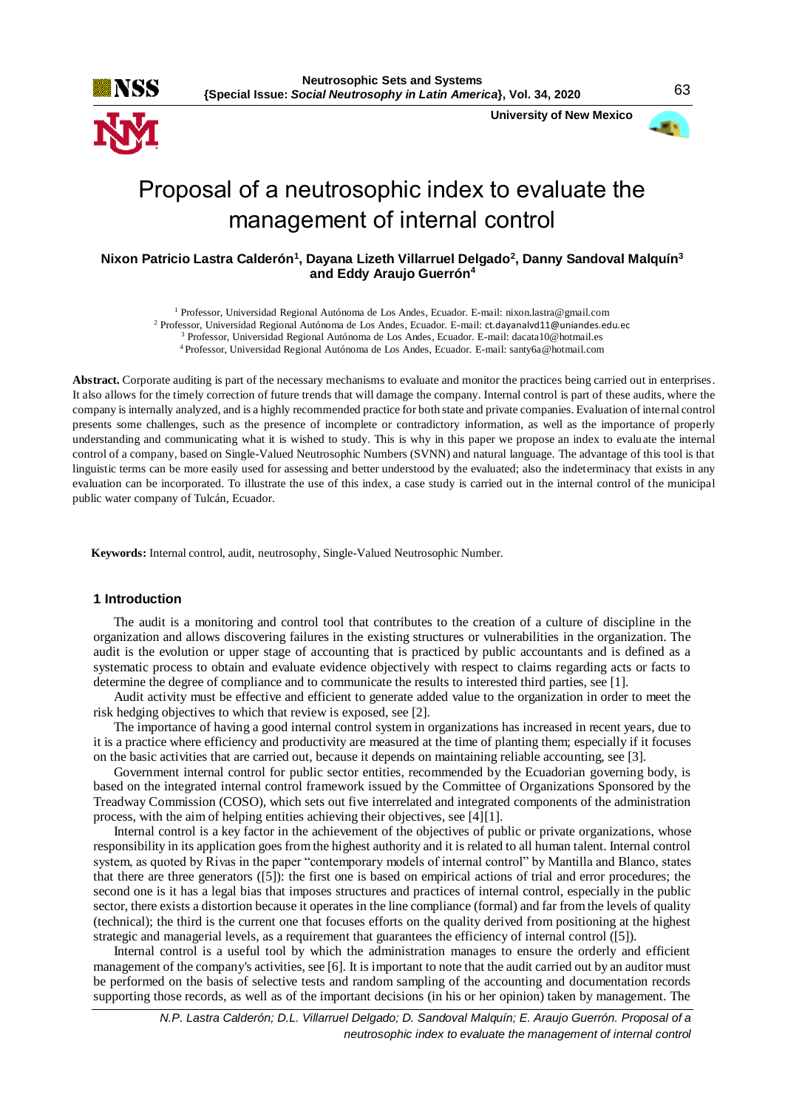

 **University of New Mexico**



# Proposal of a neutrosophic index to evaluate the management of internal control

# **Nixon Patricio Lastra Calderón<sup>1</sup> , Dayana Lizeth Villarruel Delgado<sup>2</sup> , Danny Sandoval Malquín<sup>3</sup> and Eddy Araujo Guerrón<sup>4</sup>**

<sup>1</sup> Professor, Universidad Regional Autónoma de Los Andes, Ecuador. E-mail: nixon.lastra@gmail.com

<sup>2</sup> Professor, Universidad Regional Autónoma de Los Andes, Ecuador. E-mail: ct.dayanalvd11@uniandes.edu.ec

<sup>3</sup> Professor, Universidad Regional Autónoma de Los Andes, Ecuador. E-mail: dacata10@hotmail.es

<sup>4</sup>Professor, Universidad Regional Autónoma de Los Andes, Ecuador. E-mail: santy6a@hotmail.com

**Abstract.** Corporate auditing is part of the necessary mechanisms to evaluate and monitor the practices being carried out in enterprises. It also allows for the timely correction of future trends that will damage the company. Internal control is part of these audits, where the company is internally analyzed, and is a highly recommended practice for both state and private companies. Evaluation of internal control presents some challenges, such as the presence of incomplete or contradictory information, as well as the importance of properly understanding and communicating what it is wished to study. This is why in this paper we propose an index to evaluate the internal control of a company, based on Single-Valued Neutrosophic Numbers (SVNN) and natural language. The advantage of this tool is that linguistic terms can be more easily used for assessing and better understood by the evaluated; also the indeterminacy that exists in any evaluation can be incorporated. To illustrate the use of this index, a case study is carried out in the internal control of the municipal public water company of Tulcán, Ecuador.

**Keywords:** Internal control, audit, neutrosophy, Single-Valued Neutrosophic Number.

# **1 Introduction**

The audit is a monitoring and control tool that contributes to the creation of a culture of discipline in the organization and allows discovering failures in the existing structures or vulnerabilities in the organization. The audit is the evolution or upper stage of accounting that is practiced by public accountants and is defined as a systematic process to obtain and evaluate evidence objectively with respect to claims regarding acts or facts to determine the degree of compliance and to communicate the results to interested third parties, see [1].

Audit activity must be effective and efficient to generate added value to the organization in order to meet the risk hedging objectives to which that review is exposed, see [2].

The importance of having a good internal control system in organizations has increased in recent years, due to it is a practice where efficiency and productivity are measured at the time of planting them; especially if it focuses on the basic activities that are carried out, because it depends on maintaining reliable accounting, see [3].

Government internal control for public sector entities, recommended by the Ecuadorian governing body, is based on the integrated internal control framework issued by the Committee of Organizations Sponsored by the Treadway Commission (COSO), which sets out five interrelated and integrated components of the administration process, with the aim of helping entities achieving their objectives, see [4][1].

Internal control is a key factor in the achievement of the objectives of public or private organizations, whose responsibility in its application goes from the highest authority and it is related to all human talent. Internal control system, as quoted by Rivas in the paper "contemporary models of internal control" by Mantilla and Blanco, states that there are three generators ([5]): the first one is based on empirical actions of trial and error procedures; the second one is it has a legal bias that imposes structures and practices of internal control, especially in the public sector, there exists a distortion because it operates in the line compliance (formal) and far from the levels of quality (technical); the third is the current one that focuses efforts on the quality derived from positioning at the highest strategic and managerial levels, as a requirement that guarantees the efficiency of internal control ([5]).

Internal control is a useful tool by which the administration manages to ensure the orderly and efficient management of the company's activities, see [6]. It is important to note that the audit carried out by an auditor must be performed on the basis of selective tests and random sampling of the accounting and documentation records supporting those records, as well as of the important decisions (in his or her opinion) taken by management. The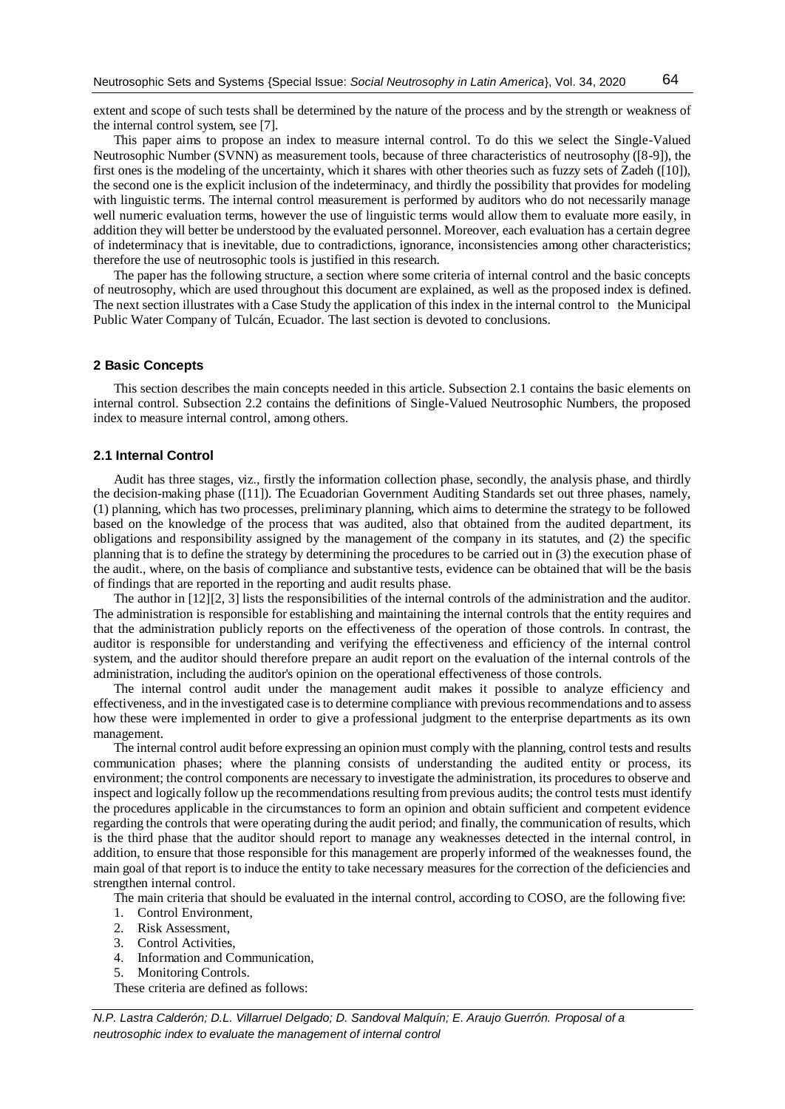extent and scope of such tests shall be determined by the nature of the process and by the strength or weakness of the internal control system, see [7].

This paper aims to propose an index to measure internal control. To do this we select the Single-Valued Neutrosophic Number (SVNN) as measurement tools, because of three characteristics of neutrosophy ([8-9]), the first ones is the modeling of the uncertainty, which it shares with other theories such as fuzzy sets of Zadeh ([10]), the second one is the explicit inclusion of the indeterminacy, and thirdly the possibility that provides for modeling with linguistic terms. The internal control measurement is performed by auditors who do not necessarily manage well numeric evaluation terms, however the use of linguistic terms would allow them to evaluate more easily, in addition they will better be understood by the evaluated personnel. Moreover, each evaluation has a certain degree of indeterminacy that is inevitable, due to contradictions, ignorance, inconsistencies among other characteristics; therefore the use of neutrosophic tools is justified in this research.

The paper has the following structure, a section where some criteria of internal control and the basic concepts of neutrosophy, which are used throughout this document are explained, as well as the proposed index is defined. The next section illustrates with a Case Study the application of this index in the internal control to the Municipal Public Water Company of Tulcán, Ecuador. The last section is devoted to conclusions.

#### **2 Basic Concepts**

This section describes the main concepts needed in this article. Subsection 2.1 contains the basic elements on internal control. Subsection 2.2 contains the definitions of Single-Valued Neutrosophic Numbers, the proposed index to measure internal control, among others.

# **2.1 Internal Control**

Audit has three stages, viz., firstly the information collection phase, secondly, the analysis phase, and thirdly the decision-making phase ([11]). The Ecuadorian Government Auditing Standards set out three phases, namely, (1) planning, which has two processes, preliminary planning, which aims to determine the strategy to be followed based on the knowledge of the process that was audited, also that obtained from the audited department, its obligations and responsibility assigned by the management of the company in its statutes, and (2) the specific planning that is to define the strategy by determining the procedures to be carried out in (3) the execution phase of the audit., where, on the basis of compliance and substantive tests, evidence can be obtained that will be the basis of findings that are reported in the reporting and audit results phase.

The author in [12][2, 3] lists the responsibilities of the internal controls of the administration and the auditor. The administration is responsible for establishing and maintaining the internal controls that the entity requires and that the administration publicly reports on the effectiveness of the operation of those controls. In contrast, the auditor is responsible for understanding and verifying the effectiveness and efficiency of the internal control system, and the auditor should therefore prepare an audit report on the evaluation of the internal controls of the administration, including the auditor's opinion on the operational effectiveness of those controls.

The internal control audit under the management audit makes it possible to analyze efficiency and effectiveness, and in the investigated case is to determine compliance with previous recommendations and to assess how these were implemented in order to give a professional judgment to the enterprise departments as its own management.

The internal control audit before expressing an opinion must comply with the planning, control tests and results communication phases; where the planning consists of understanding the audited entity or process, its environment; the control components are necessary to investigate the administration, its procedures to observe and inspect and logically follow up the recommendations resulting from previous audits; the control tests must identify the procedures applicable in the circumstances to form an opinion and obtain sufficient and competent evidence regarding the controls that were operating during the audit period; and finally, the communication of results, which is the third phase that the auditor should report to manage any weaknesses detected in the internal control, in addition, to ensure that those responsible for this management are properly informed of the weaknesses found, the main goal of that report is to induce the entity to take necessary measures for the correction of the deficiencies and strengthen internal control.

The main criteria that should be evaluated in the internal control, according to COSO, are the following five:

- 1. Control Environment,
- 2. Risk Assessment,
- 3. Control Activities,
- 4. Information and Communication,
- 5. Monitoring Controls.

These criteria are defined as follows:

*N.P. Lastra Calderón; D.L. Villarruel Delgado; D. Sandoval Malquín; E. Araujo Guerrón. Proposal of a neutrosophic index to evaluate the management of internal control*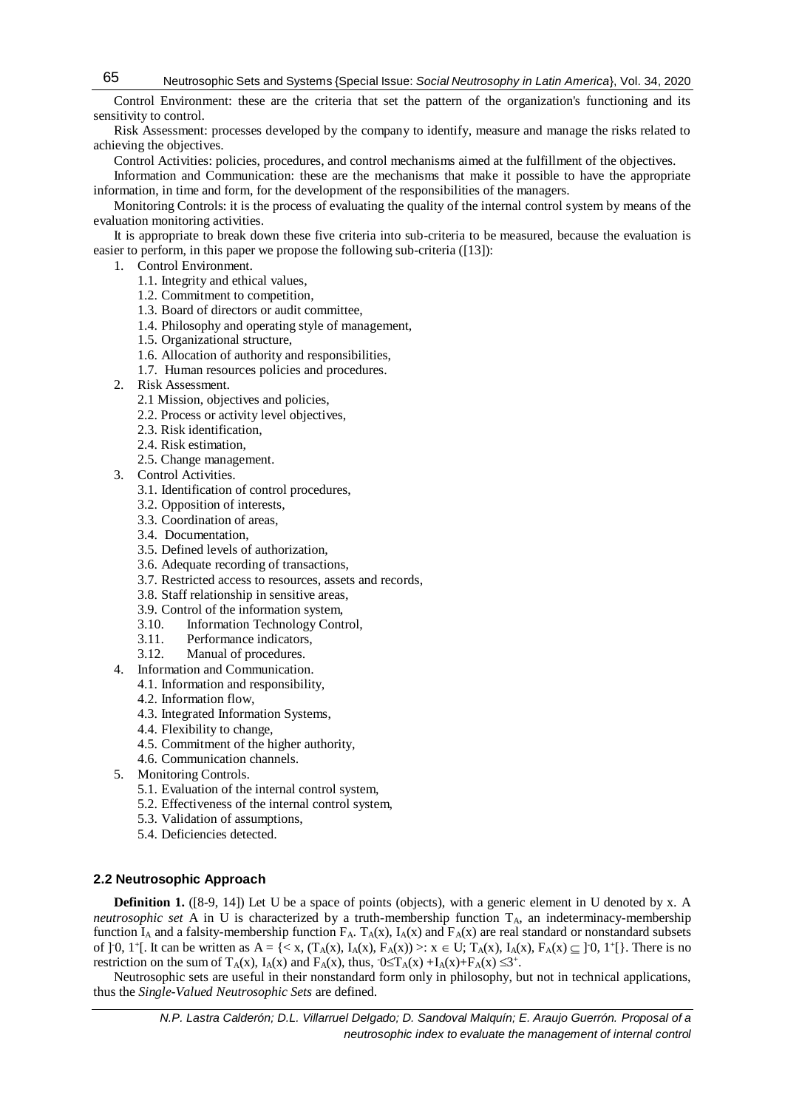Control Environment: these are the criteria that set the pattern of the organization's functioning and its sensitivity to control.

Risk Assessment: processes developed by the company to identify, measure and manage the risks related to achieving the objectives.

Control Activities: policies, procedures, and control mechanisms aimed at the fulfillment of the objectives.

Information and Communication: these are the mechanisms that make it possible to have the appropriate information, in time and form, for the development of the responsibilities of the managers.

Monitoring Controls: it is the process of evaluating the quality of the internal control system by means of the evaluation monitoring activities.

It is appropriate to break down these five criteria into sub-criteria to be measured, because the evaluation is easier to perform, in this paper we propose the following sub-criteria ([13]):

- 1. Control Environment.
	- 1.1. Integrity and ethical values,
	- 1.2. Commitment to competition,
	- 1.3. Board of directors or audit committee,
	- 1.4. Philosophy and operating style of management,
	- 1.5. Organizational structure,
	- 1.6. Allocation of authority and responsibilities,
	- 1.7. Human resources policies and procedures.
- 2. Risk Assessment.
	- 2.1 Mission, objectives and policies,
	- 2.2. Process or activity level objectives,
	- 2.3. Risk identification,
	- 2.4. Risk estimation,
	- 2.5. Change management.
- 3. Control Activities.
	- 3.1. Identification of control procedures,
	- 3.2. Opposition of interests,
	- 3.3. Coordination of areas,
	- 3.4. Documentation,
	- 3.5. Defined levels of authorization,
	- 3.6. Adequate recording of transactions,
	- 3.7. Restricted access to resources, assets and records,
	- 3.8. Staff relationship in sensitive areas,
	- 3.9. Control of the information system,
	- 3.10. Information Technology Control,
	- 3.11. Performance indicators,
	- 3.12. Manual of procedures.
- 4. Information and Communication.
	- 4.1. Information and responsibility,
	- 4.2. Information flow,
	- 4.3. Integrated Information Systems,
	- 4.4. Flexibility to change,
	- 4.5. Commitment of the higher authority,
	- 4.6. Communication channels.
- 5. Monitoring Controls.
	- 5.1. Evaluation of the internal control system,
	- 5.2. Effectiveness of the internal control system,
	- 5.3. Validation of assumptions,
	- 5.4. Deficiencies detected.

# **2.2 Neutrosophic Approach**

**Definition 1.** ([8-9, 14]) Let U be a space of points (objects), with a generic element in U denoted by x. A *neutrosophic set* A in U is characterized by a truth-membership function T<sub>A</sub>, an indeterminacy-membership function  $I_A$  and a falsity-membership function  $F_A$ .  $T_A(x)$ ,  $I_A(x)$  and  $F_A(x)$  are real standard or nonstandard subsets of  $]0, 1^{\dagger}$ . It can be written as  $A = \{ \langle x, (T_A(x), I_A(x), F_A(x)) \rangle : x \in U; T_A(x), I_A(x), F_A(x) \subseteq ]0, 1^{\dagger} \}$ . There is no restriction on the sum of  $T_A(x)$ ,  $I_A(x)$  and  $F_A(x)$ , thus,  $0 \le T_A(x) + I_A(x) + F_A(x) \le 3^+$ .

Neutrosophic sets are useful in their nonstandard form only in philosophy, but not in technical applications, thus the *Single-Valued Neutrosophic Sets* are defined.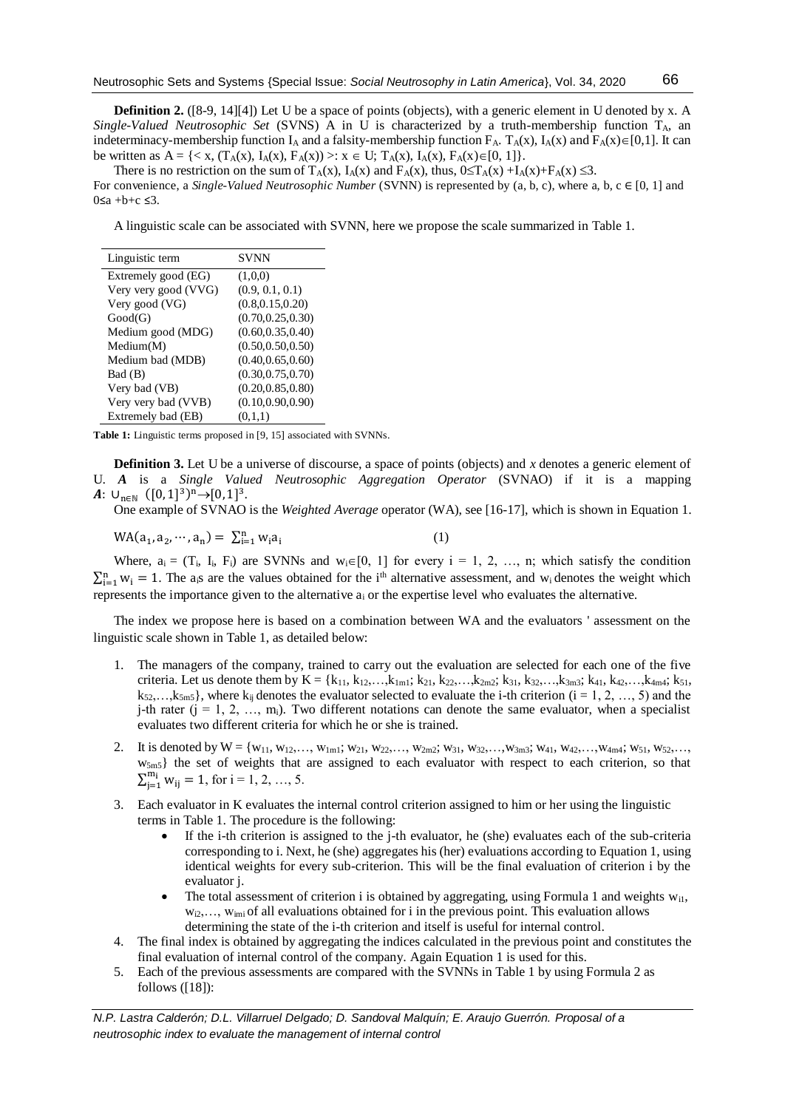**Definition 2.** ([8-9, 14][4]) Let U be a space of points (objects), with a generic element in U denoted by x. A *Single-Valued Neutrosophic Set* (SVNS) A in U is characterized by a truth-membership function TA, an indeterminacy-membership function  $I_A$  and a falsity-membership function  $F_A$ .  $T_A(x)$ ,  $I_A(x)$  and  $F_A(x) \in [0,1]$ . It can be written as  $A = \{ \langle x, (T_A(x), I_A(x), F_A(x)) \rangle : x \in U; T_A(x), I_A(x), F_A(x) \in [0, 1] \}.$ 

There is no restriction on the sum of  $T_A(x)$ ,  $I_A(x)$  and  $F_A(x)$ , thus,  $0 \leq T_A(x) + I_A(x) + F_A(x) \leq 3$ .

For convenience, a *Single-Valued Neutrosophic Number* (SVNN) is represented by (a, b, c), where a, b, c ∈ [0, 1] and  $0 \leq a + b + c \leq 3$ .

A linguistic scale can be associated with SVNN, here we propose the scale summarized in Table 1.

| Linguistic term      | <b>SVNN</b>        |
|----------------------|--------------------|
| Extremely good (EG)  | (1,0,0)            |
| Very very good (VVG) | (0.9, 0.1, 0.1)    |
| Very good (VG)       | (0.8, 0.15, 0.20)  |
| Good(G)              | (0.70, 0.25, 0.30) |
| Medium good (MDG)    | (0.60, 0.35, 0.40) |
| Median(M)            | (0.50, 0.50, 0.50) |
| Medium bad (MDB)     | (0.40, 0.65, 0.60) |
| Bad (B)              | (0.30, 0.75, 0.70) |
| Very bad (VB)        | (0.20, 0.85, 0.80) |
| Very very bad (VVB)  | (0.10, 0.90, 0.90) |
| Extremely bad (EB)   | (0,1,1)            |

**Table 1:** Linguistic terms proposed in [9, 15] associated with SVNNs.

**Definition 3.** Let U be a universe of discourse, a space of points (objects) and *x* denotes a generic element of U. *A* is a *Single Valued Neutrosophic Aggregation Operator* (SVNAO) if it is a mapping  $A: \cup_{n\in\mathbb{N}} ([0,1]^3)^n \rightarrow [0,1]^3$ .

One example of SVNAO is the *Weighted Average* operator (WA), see [16-17], which is shown in Equation 1.

$$
WA(a_1, a_2, \cdots, a_n) = \sum_{i=1}^{n} w_i a_i
$$
 (1)

Where,  $a_i = (T_i, I_i, F_i)$  are SVNNs and  $w_i \in [0, 1]$  for every  $i = 1, 2, ..., n$ ; which satisfy the condition  $\sum_{i=1}^{n} w_i = 1$ . The a<sub>i</sub>s are the values obtained for the i<sup>th</sup> alternative assessment, and w<sub>i</sub> denotes the weight which represents the importance given to the alternative a<sup>i</sup> or the expertise level who evaluates the alternative.

The index we propose here is based on a combination between WA and the evaluators ' assessment on the linguistic scale shown in Table 1, as detailed below:

- 1. The managers of the company, trained to carry out the evaluation are selected for each one of the five criteria. Let us denote them by  $K = \{k_{11}, k_{12},...,k_{1m1}; k_{21}, k_{22},...,k_{2m2}; k_{31}, k_{32},...,k_{3m3}; k_{41}, k_{42},...,k_{4m4}; k_{51},$  $k_{52},...,k_{5m5}$ , where  $k_{ii}$  denotes the evaluator selected to evaluate the i-th criterion (i = 1, 2, …, 5) and the j-th rater  $(j = 1, 2, ..., m_i)$ . Two different notations can denote the same evaluator, when a specialist evaluates two different criteria for which he or she is trained.
- 2. It is denoted by  $W = \{w_{11}, w_{12}, \ldots, w_{1m1}; w_{21}, w_{22}, \ldots, w_{2m2}; w_{31}, w_{32}, \ldots, w_{3m3}; w_{41}, w_{42}, \ldots, w_{4m4}; w_{51}, w_{52}, \ldots, w_{4m4}\}$ w5m5} the set of weights that are assigned to each evaluator with respect to each criterion, so that  $\sum_{j=1}^{m_i} w_{ij} = 1$ , for  $i = 1, 2, ..., 5$ .
- 3. Each evaluator in K evaluates the internal control criterion assigned to him or her using the linguistic terms in Table 1. The procedure is the following:
	- If the i-th criterion is assigned to the j-th evaluator, he (she) evaluates each of the sub-criteria corresponding to i. Next, he (she) aggregates his (her) evaluations according to Equation 1, using identical weights for every sub-criterion. This will be the final evaluation of criterion i by the evaluator j.
	- The total assessment of criterion i is obtained by aggregating, using Formula 1 and weights  $w_{i1}$ ,  $w_{i2},..., w_{imi}$  of all evaluations obtained for i in the previous point. This evaluation allows determining the state of the i-th criterion and itself is useful for internal control.
- 4. The final index is obtained by aggregating the indices calculated in the previous point and constitutes the final evaluation of internal control of the company. Again Equation 1 is used for this.
- 5. Each of the previous assessments are compared with the SVNNs in Table 1 by using Formula 2 as follows ([18]):

*N.P. Lastra Calderón; D.L. Villarruel Delgado; D. Sandoval Malquín; E. Araujo Guerrón. Proposal of a neutrosophic index to evaluate the management of internal control*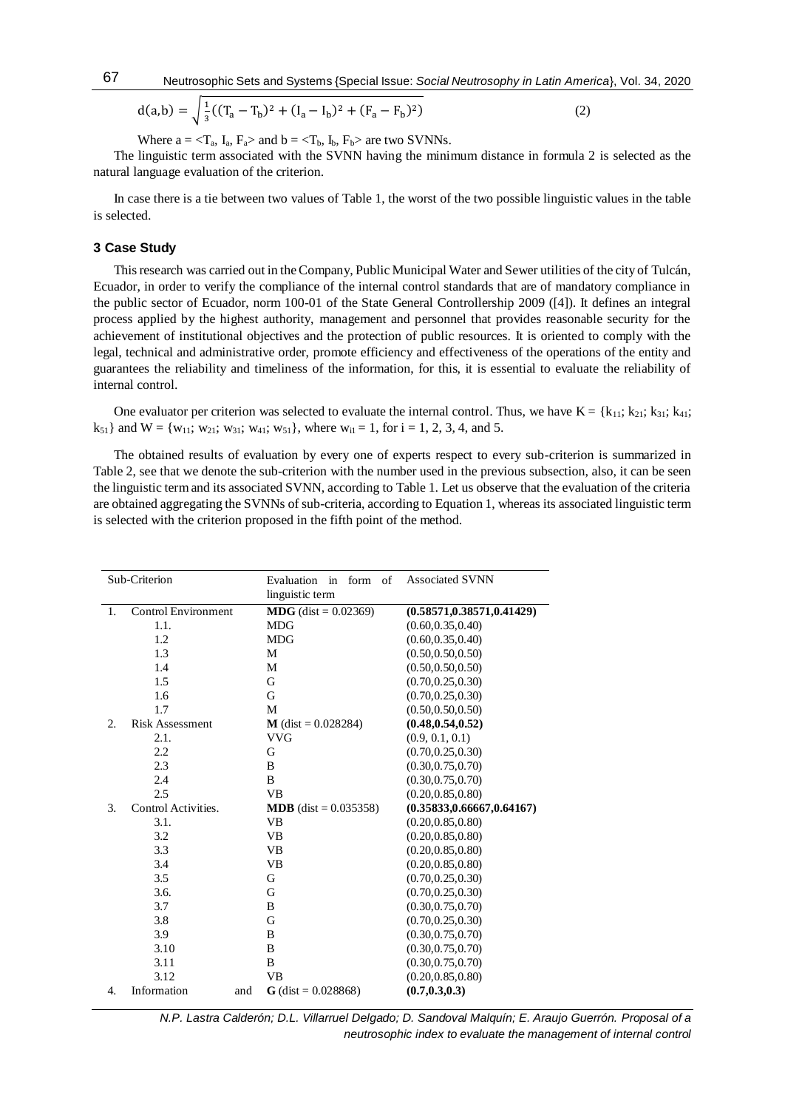Neutrosophic Sets and Systems {Special Issue: *Social Neutrosophy in Latin America*}, Vol. 34, 2020

$$
d(a,b) = \sqrt{\frac{1}{3}((T_a - T_b)^2 + (I_a - I_b)^2 + (F_a - F_b)^2)}
$$
 (2)

Where  $a = \langle T_a, I_a, F_a \rangle$  and  $b = \langle T_b, I_b, F_b \rangle$  are two SVNNs.

The linguistic term associated with the SVNN having the minimum distance in formula 2 is selected as the natural language evaluation of the criterion.

In case there is a tie between two values of Table 1, the worst of the two possible linguistic values in the table is selected.

#### **3 Case Study**

This research was carried out in the Company, Public Municipal Water and Sewer utilities of the city of Tulcán, Ecuador, in order to verify the compliance of the internal control standards that are of mandatory compliance in the public sector of Ecuador, norm 100-01 of the State General Controllership 2009 ([4]). It defines an integral process applied by the highest authority, management and personnel that provides reasonable security for the achievement of institutional objectives and the protection of public resources. It is oriented to comply with the legal, technical and administrative order, promote efficiency and effectiveness of the operations of the entity and guarantees the reliability and timeliness of the information, for this, it is essential to evaluate the reliability of internal control.

One evaluator per criterion was selected to evaluate the internal control. Thus, we have  $K = \{k_{11}; k_{21}; k_{31}; k_{41};$  $k_{51}$  and  $W = \{w_{11}; w_{21}; w_{31}; w_{41}; w_{51}\}$ , where  $w_{i1} = 1$ , for  $i = 1, 2, 3, 4$ , and 5.

The obtained results of evaluation by every one of experts respect to every sub-criterion is summarized in Table 2, see that we denote the sub-criterion with the number used in the previous subsection, also, it can be seen the linguistic term and its associated SVNN, according to Table 1. Let us observe that the evaluation of the criteria are obtained aggregating the SVNNs of sub-criteria, according to Equation 1, whereas its associated linguistic term is selected with the criterion proposed in the fifth point of the method.

|    | Sub-Criterion              | Evaluation<br>in<br>form of<br>linguistic term | <b>Associated SVNN</b>      |
|----|----------------------------|------------------------------------------------|-----------------------------|
| 1. | <b>Control Environment</b> | <b>MDG</b> (dist = $0.02369$ )                 | (0.58571, 0.38571, 0.41429) |
|    | 1.1.                       | <b>MDG</b>                                     | (0.60, 0.35, 0.40)          |
|    | 1.2                        | <b>MDG</b>                                     | (0.60, 0.35, 0.40)          |
|    | 1.3                        | M                                              | (0.50, 0.50, 0.50)          |
|    | 1.4                        | M                                              | (0.50, 0.50, 0.50)          |
|    | 1.5                        | G                                              | (0.70, 0.25, 0.30)          |
|    | 1.6                        | G                                              | (0.70, 0.25, 0.30)          |
|    | 1.7                        | M                                              | (0.50, 0.50, 0.50)          |
| 2. | <b>Risk Assessment</b>     | $M$ (dist = 0.028284)                          | (0.48, 0.54, 0.52)          |
|    | 2.1.                       | <b>VVG</b>                                     | (0.9, 0.1, 0.1)             |
|    | 2.2                        | G                                              | (0.70, 0.25, 0.30)          |
|    | 2.3                        | B                                              | (0.30, 0.75, 0.70)          |
|    | 2.4                        | B                                              | (0.30, 0.75, 0.70)          |
|    | 2.5                        | <b>VB</b>                                      | (0.20, 0.85, 0.80)          |
| 3. | Control Activities.        | <b>MDB</b> (dist = $0.035358$ )                | (0.35833, 0.66667, 0.64167) |
|    | 3.1.                       | <b>VB</b>                                      | (0.20, 0.85, 0.80)          |
|    | 3.2                        | <b>VB</b>                                      | (0.20, 0.85, 0.80)          |
|    | 3.3                        | <b>VB</b>                                      | (0.20, 0.85, 0.80)          |
|    | 3.4                        | VB                                             | (0.20, 0.85, 0.80)          |
|    | 3.5                        | G                                              | (0.70, 0.25, 0.30)          |
|    | 3.6.                       | G                                              | (0.70, 0.25, 0.30)          |
|    | 3.7                        | B                                              | (0.30, 0.75, 0.70)          |
|    | 3.8                        | G                                              | (0.70, 0.25, 0.30)          |
|    | 3.9                        | B                                              | (0.30, 0.75, 0.70)          |
|    | 3.10                       | B                                              | (0.30, 0.75, 0.70)          |
|    | 3.11                       | B                                              | (0.30, 0.75, 0.70)          |
|    | 3.12                       | VB                                             | (0.20, 0.85, 0.80)          |
| 4. | Information<br>and         | $G$ (dist = 0.028868)                          | (0.7, 0.3, 0.3)             |

*N.P. Lastra Calderón; D.L. Villarruel Delgado; D. Sandoval Malquín; E. Araujo Guerrón. Proposal of a neutrosophic index to evaluate the management of internal control*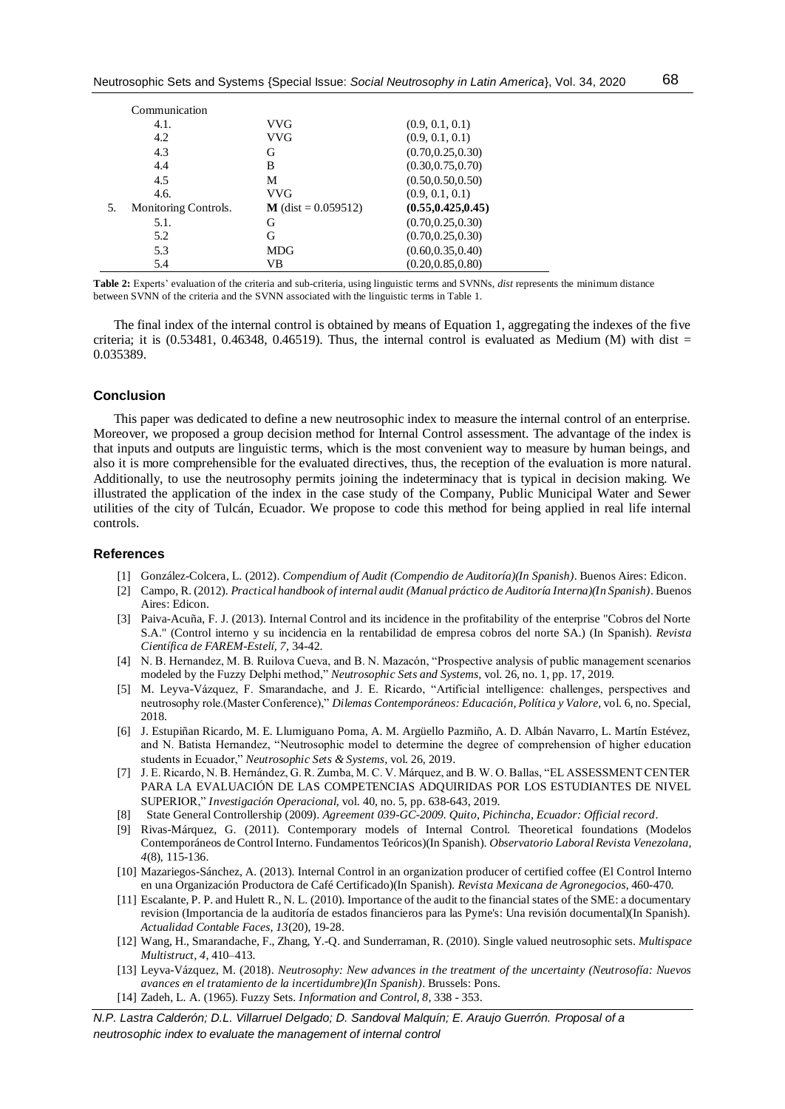|     | Communication        |                       |                     |
|-----|----------------------|-----------------------|---------------------|
|     | 4.1.                 | VVG                   | (0.9, 0.1, 0.1)     |
|     | 4.2                  | VVG                   | (0.9, 0.1, 0.1)     |
|     | 4.3                  | G                     | (0.70, 0.25, 0.30)  |
|     | 4.4                  | B                     | (0.30, 0.75, 0.70)  |
|     | 4.5                  | М                     | (0.50, 0.50, 0.50)  |
|     | 4.6.                 | VVG                   | (0.9, 0.1, 0.1)     |
| .5. | Monitoring Controls. | $M$ (dist = 0.059512) | (0.55, 0.425, 0.45) |
|     | 5.1.                 | G                     | (0.70, 0.25, 0.30)  |
|     | 5.2                  | G                     | (0.70, 0.25, 0.30)  |
|     | 5.3                  | <b>MDG</b>            | (0.60, 0.35, 0.40)  |
|     | 5.4                  | VB                    | (0.20, 0.85, 0.80)  |

**Table 2:** Experts' evaluation of the criteria and sub-criteria, using linguistic terms and SVNNs, *dist* represents the minimum distance between SVNN of the criteria and the SVNN associated with the linguistic terms in Table 1.

The final index of the internal control is obtained by means of Equation 1, aggregating the indexes of the five criteria; it is  $(0.53481, 0.46348, 0.46519)$ . Thus, the internal control is evaluated as Medium (M) with dist = 0.035389.

#### **Conclusion**

This paper was dedicated to define a new neutrosophic index to measure the internal control of an enterprise. Moreover, we proposed a group decision method for Internal Control assessment. The advantage of the index is that inputs and outputs are linguistic terms, which is the most convenient way to measure by human beings, and also it is more comprehensible for the evaluated directives, thus, the reception of the evaluation is more natural. Additionally, to use the neutrosophy permits joining the indeterminacy that is typical in decision making. We illustrated the application of the index in the case study of the Company, Public Municipal Water and Sewer utilities of the city of Tulcán, Ecuador. We propose to code this method for being applied in real life internal controls.

# **References**

- [1] González-Colcera, L. (2012). *Compendium of Audit (Compendio de Auditoría)(In Spanish)*. Buenos Aires: Edicon.
- [2] Campo, R. (2012). *Practical handbook of internal audit (Manual práctico de Auditoría Interna)(In Spanish)*. Buenos Aires: Edicon.
- [3] Paiva-Acuña, F. J. (2013). Internal Control and its incidence in the profitability of the enterprise "Cobros del Norte S.A." (Control interno y su incidencia en la rentabilidad de empresa cobros del norte SA.) (In Spanish). *Revista Científica de FAREM-Estelí, 7*, 34-42.
- [4] N. B. Hernandez, M. B. Ruilova Cueva, and B. N. Mazacón, "Prospective analysis of public management scenarios modeled by the Fuzzy Delphi method," *Neutrosophic Sets and Systems,* vol. 26, no. 1, pp. 17, 2019.
- [5] M. Leyva-Vázquez, F. Smarandache, and J. E. Ricardo, "Artificial intelligence: challenges, perspectives and neutrosophy role.(Master Conference)," *Dilemas Contemporáneos: Educación, Política y Valore,* vol. 6, no. Special, 2018.
- [6] J. Estupiñan Ricardo, M. E. Llumiguano Poma, A. M. Argüello Pazmiño, A. D. Albán Navarro, L. Martín Estévez, and N. Batista Hernandez, "Neutrosophic model to determine the degree of comprehension of higher education students in Ecuador," *Neutrosophic Sets & Systems,* vol. 26, 2019.
- [7] J. E. Ricardo, N. B. Hernández, G. R. Zumba, M. C. V. Márquez, and B. W. O. Ballas, "EL ASSESSMENT CENTER PARA LA EVALUACIÓN DE LAS COMPETENCIAS ADQUIRIDAS POR LOS ESTUDIANTES DE NIVEL SUPERIOR," *Investigación Operacional,* vol. 40, no. 5, pp. 638-643, 2019.
- [8] State General Controllership (2009). *Agreement 039-GC-2009. Quito, Pichincha, Ecuador: Official record*.
- [9] Rivas-Márquez, G. (2011). Contemporary models of Internal Control. Theoretical foundations (Modelos Contemporáneos de Control Interno. Fundamentos Teóricos)(In Spanish). *Observatorio Laboral Revista Venezolana, 4*(8), 115-136.
- [10] Mazariegos-Sánchez, A. (2013). Internal Control in an organization producer of certified coffee (El Control Interno en una Organización Productora de Café Certificado)(In Spanish). *Revista Mexicana de Agronegocios*, 460-470.
- [11] Escalante, P. P. and Hulett R., N. L. (2010). Importance of the audit to the financial states of the SME: a documentary revision (Importancia de la auditoría de estados financieros para las Pyme's: Una revisión documental)(In Spanish). *Actualidad Contable Faces, 13*(20), 19-28.
- [12] Wang, H., Smarandache, F., Zhang, Y.-Q. and Sunderraman, R. (2010). Single valued neutrosophic sets. *Multispace Multistruct, 4*, 410–413.
- [13] Leyva-Vázquez, M. (2018). *Neutrosophy: New advances in the treatment of the uncertainty (Neutrosofía: Nuevos avances en el tratamiento de la incertidumbre)(In Spanish)*. Brussels: Pons.
- [14] Zadeh, L. A. (1965). Fuzzy Sets. *Information and Control, 8*, 338 353.

*N.P. Lastra Calderón; D.L. Villarruel Delgado; D. Sandoval Malquín; E. Araujo Guerrón. Proposal of a neutrosophic index to evaluate the management of internal control*